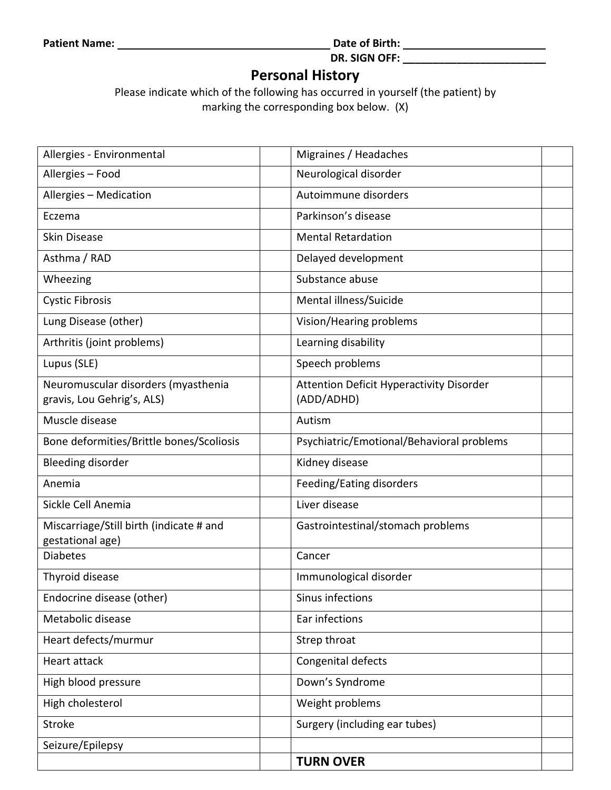**Patient Name: Date of Birth:** 

**DR. SIGN OFF: \_\_\_\_\_\_\_\_\_\_\_\_\_\_\_\_\_\_\_\_\_\_\_\_**

## **Personal History**

Please indicate which of the following has occurred in yourself (the patient) by marking the corresponding box below. (X)

| Allergies - Environmental                                         | Migraines / Headaches                                         |  |
|-------------------------------------------------------------------|---------------------------------------------------------------|--|
| Allergies - Food                                                  | Neurological disorder                                         |  |
| Allergies - Medication                                            | Autoimmune disorders                                          |  |
| Eczema                                                            | Parkinson's disease                                           |  |
| <b>Skin Disease</b>                                               | <b>Mental Retardation</b>                                     |  |
| Asthma / RAD                                                      | Delayed development                                           |  |
| Wheezing                                                          | Substance abuse                                               |  |
| <b>Cystic Fibrosis</b>                                            | Mental illness/Suicide                                        |  |
| Lung Disease (other)                                              | Vision/Hearing problems                                       |  |
| Arthritis (joint problems)                                        | Learning disability                                           |  |
| Lupus (SLE)                                                       | Speech problems                                               |  |
| Neuromuscular disorders (myasthenia<br>gravis, Lou Gehrig's, ALS) | <b>Attention Deficit Hyperactivity Disorder</b><br>(ADD/ADHD) |  |
| Muscle disease                                                    | Autism                                                        |  |
| Bone deformities/Brittle bones/Scoliosis                          | Psychiatric/Emotional/Behavioral problems                     |  |
| <b>Bleeding disorder</b>                                          | Kidney disease                                                |  |
| Anemia                                                            | Feeding/Eating disorders                                      |  |
| Sickle Cell Anemia                                                | Liver disease                                                 |  |
| Miscarriage/Still birth (indicate # and<br>gestational age)       | Gastrointestinal/stomach problems                             |  |
| <b>Diabetes</b>                                                   | Cancer                                                        |  |
| Thyroid disease                                                   | Immunological disorder                                        |  |
| Endocrine disease (other)                                         | Sinus infections                                              |  |
| Metabolic disease                                                 | Ear infections                                                |  |
| Heart defects/murmur                                              | Strep throat                                                  |  |
| Heart attack                                                      | Congenital defects                                            |  |
| High blood pressure                                               | Down's Syndrome                                               |  |
| High cholesterol                                                  | Weight problems                                               |  |
| <b>Stroke</b>                                                     | Surgery (including ear tubes)                                 |  |
| Seizure/Epilepsy                                                  |                                                               |  |
|                                                                   | <b>TURN OVER</b>                                              |  |